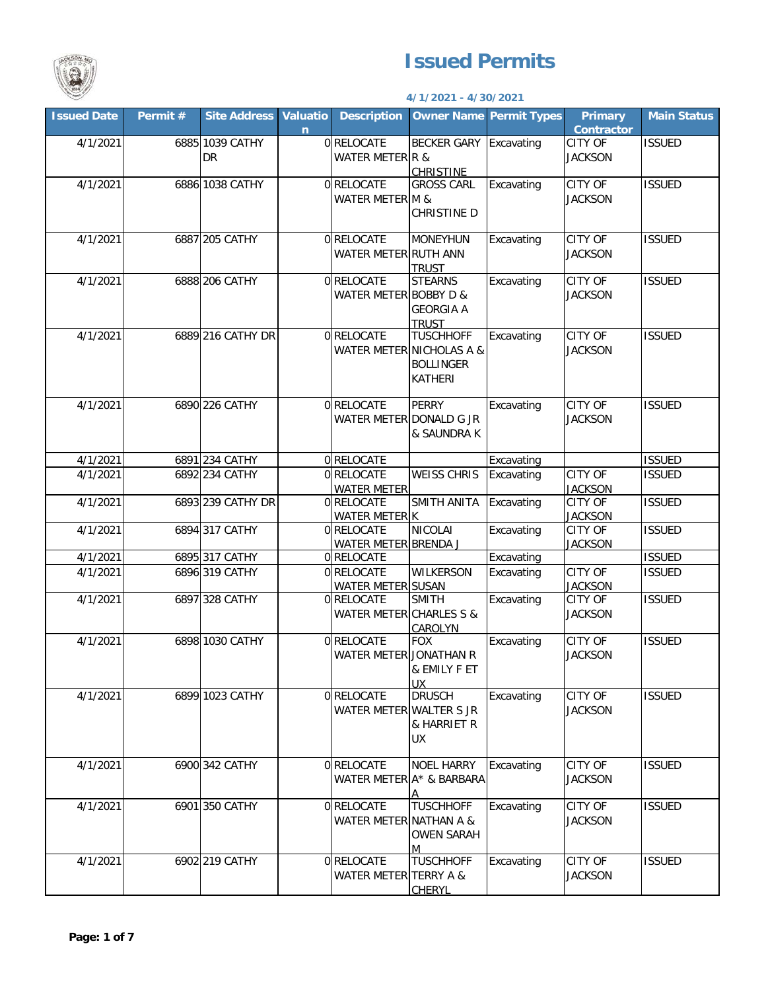

## **Issued Permits**

## **4/1/2021 - 4/30/2021**

| <b>Issued Date</b> | Permit # | <b>Site Address</b>          | <b>Valuatio</b><br>$\overline{n}$ | <b>Description</b>                    |                                                                                    | <b>Owner Name Permit Types</b> | <b>Primary</b><br><b>Contractor</b> | <b>Main Status</b> |
|--------------------|----------|------------------------------|-----------------------------------|---------------------------------------|------------------------------------------------------------------------------------|--------------------------------|-------------------------------------|--------------------|
| 4/1/2021           |          | 6885 1039 CATHY<br><b>DR</b> |                                   | 0 RELOCATE<br>WATER METER R &         | <b>BECKER GARY</b><br><b>CHRISTINE</b>                                             | Excavating                     | CITY OF<br><b>JACKSON</b>           | <b>ISSUED</b>      |
| 4/1/2021           |          | 6886 1038 CATHY              |                                   | 0 RELOCATE<br>WATER METER M &         | <b>GROSS CARL</b><br>CHRISTINE D                                                   | Excavating                     | <b>CITY OF</b><br><b>JACKSON</b>    | <b>ISSUED</b>      |
| 4/1/2021           |          | 6887 205 CATHY               |                                   | 0 RELOCATE<br>WATER METER RUTH ANN    | <b>MONEYHUN</b><br><b>TRUST</b>                                                    | Excavating                     | <b>CITY OF</b><br><b>JACKSON</b>    | <b>ISSUED</b>      |
| 4/1/2021           |          | 6888 206 CATHY               |                                   | 0 RELOCATE<br>WATER METER BOBBY D &   | <b>STEARNS</b><br><b>GEORGIA A</b><br><b>TRUST</b>                                 | Excavating                     | <b>CITY OF</b><br><b>JACKSON</b>    | <b>ISSUED</b>      |
| 4/1/2021           |          | 6889 216 CATHY DR            |                                   | 0 RELOCATE                            | <b>TUSCHHOFF</b><br>WATER METER NICHOLAS A &<br><b>BOLLINGER</b><br><b>KATHERI</b> | Excavating                     | <b>CITY OF</b><br><b>JACKSON</b>    | <b>ISSUED</b>      |
| 4/1/2021           |          | 6890 226 CATHY               |                                   | 0 RELOCATE<br>WATER METER DONALD G JR | <b>PERRY</b><br>& SAUNDRA K                                                        | Excavating                     | <b>CITY OF</b><br><b>JACKSON</b>    | <b>ISSUED</b>      |
| 4/1/2021           |          | 6891 234 CATHY               |                                   | 0 RELOCATE                            |                                                                                    | Excavating                     |                                     | <b>ISSUED</b>      |
| 4/1/2021           |          | 6892 234 CATHY               |                                   | 0 RELOCATE<br><b>WATER METER</b>      | <b>WEISS CHRIS</b>                                                                 | Excavating                     | <b>CITY OF</b><br><b>JACKSON</b>    | <b>ISSUED</b>      |
| 4/1/2021           |          | 6893 239 CATHY DR            |                                   | 0 RELOCATE<br>WATER METER K           | SMITH ANITA                                                                        | Excavating                     | <b>CITY OF</b><br><b>JACKSON</b>    | <b>ISSUED</b>      |
| 4/1/2021           |          | 6894 317 CATHY               |                                   | 0 RELOCATE<br>WATER METER BRENDA J    | <b>NICOLAI</b>                                                                     | Excavating                     | <b>CITY OF</b><br><b>JACKSON</b>    | <b>ISSUED</b>      |
| 4/1/2021           |          | 6895 317 CATHY               |                                   | 0 RELOCATE                            |                                                                                    | Excavating                     |                                     | <b>ISSUED</b>      |
| 4/1/2021           |          | 6896 319 CATHY               |                                   | 0 RELOCATE<br>WATER METER SUSAN       | <b>WILKERSON</b>                                                                   | Excavating                     | <b>CITY OF</b><br><b>JACKSON</b>    | <b>ISSUED</b>      |
| 4/1/2021           |          | 6897 328 CATHY               |                                   | 0 RELOCATE<br>WATER METER CHARLES S & | <b>SMITH</b><br>CAROLYN                                                            | Excavating                     | <b>CITY OF</b><br><b>JACKSON</b>    | <b>ISSUED</b>      |
| 4/1/2021           |          | 6898 1030 CATHY              |                                   | 0 RELOCATE<br>WATER METER JONATHAN R  | <b>FOX</b><br>& EMILY F ET<br>UX                                                   | Excavating                     | <b>CITY OF</b><br><b>JACKSON</b>    | <b>ISSUED</b>      |
| 4/1/2021           |          | 6899 1023 CATHY              |                                   | 0 RELOCATE<br>WATER METER WALTER S JR | <b>DRUSCH</b><br>& HARRIET R<br>UX                                                 | Excavating                     | CITY OF<br><b>JACKSON</b>           | <b>ISSUED</b>      |
| 4/1/2021           |          | 6900 342 CATHY               |                                   | 0 RELOCATE                            | <b>NOEL HARRY</b><br>WATER METER A* & BARBARA<br>Δ                                 | Excavating                     | CITY OF<br><b>JACKSON</b>           | <b>ISSUED</b>      |
| 4/1/2021           |          | 6901 350 CATHY               |                                   | 0 RELOCATE<br>WATER METER NATHAN A &  | <b>TUSCHHOFF</b><br><b>OWEN SARAH</b><br>M                                         | Excavating                     | CITY OF<br><b>JACKSON</b>           | <b>ISSUED</b>      |
| 4/1/2021           |          | 6902 219 CATHY               |                                   | 0 RELOCATE<br>WATER METER TERRY A &   | <b>TUSCHHOFF</b><br><b>CHERYL</b>                                                  | Excavating                     | CITY OF<br><b>JACKSON</b>           | <b>ISSUED</b>      |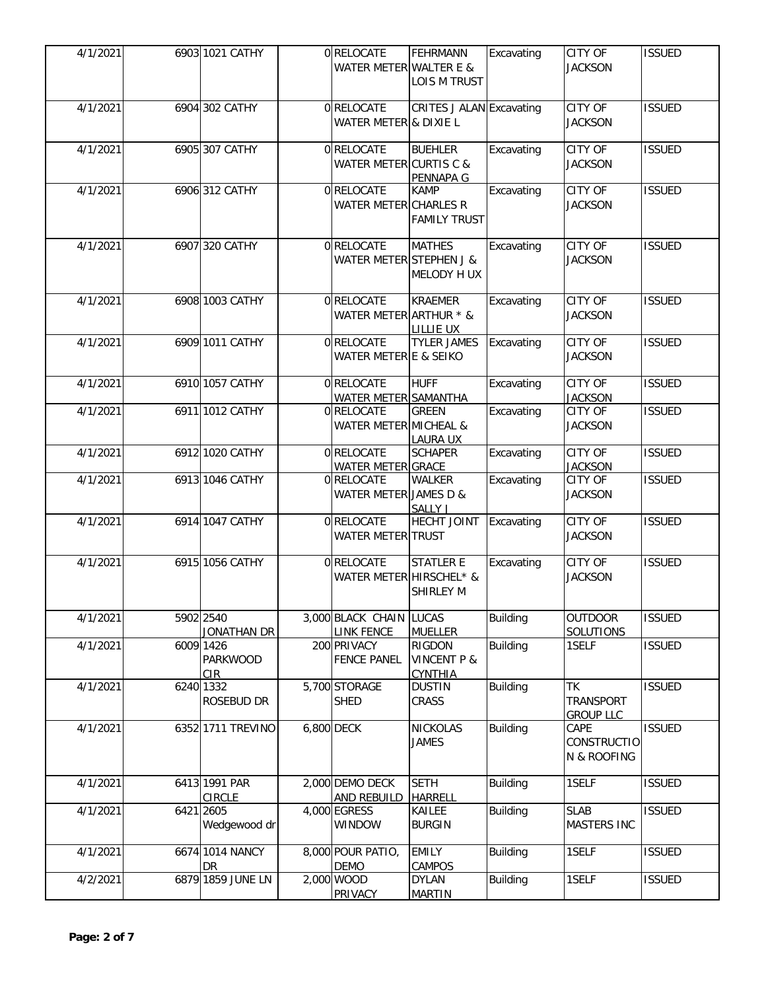| 4/1/2021 | 6903 1021 CATHY                | 0RELOCATE<br>WATER METER WALTER E &        | FEHRMANN<br><b>LOIS M TRUST</b>                    | Excavating      | <b>CITY OF</b><br><b>JACKSON</b>           | <b>ISSUED</b> |
|----------|--------------------------------|--------------------------------------------|----------------------------------------------------|-----------------|--------------------------------------------|---------------|
| 4/1/2021 | 6904 302 CATHY                 | 0 RELOCATE<br>WATER METER & DIXIE L        | CRITES J ALAN Excavating                           |                 | <b>CITY OF</b><br><b>JACKSON</b>           | <b>ISSUED</b> |
| 4/1/2021 | 6905 307 CATHY                 | 0 RELOCATE<br>WATER METER CURTIS C &       | <b>BUEHLER</b><br>PENNAPA G                        | Excavating      | <b>CITY OF</b><br><b>JACKSON</b>           | <b>ISSUED</b> |
| 4/1/2021 | 6906 312 CATHY                 | 0 RELOCATE<br><b>WATER METER CHARLES R</b> | <b>KAMP</b><br><b>FAMILY TRUST</b>                 | Excavating      | <b>CITY OF</b><br><b>JACKSON</b>           | <b>ISSUED</b> |
| 4/1/2021 | 6907 320 CATHY                 | 0 RELOCATE<br>WATER METER STEPHEN J &      | <b>MATHES</b><br>MELODY H UX                       | Excavating      | <b>CITY OF</b><br><b>JACKSON</b>           | <b>ISSUED</b> |
| 4/1/2021 | 6908 1003 CATHY                | 0 RELOCATE<br>WATER METER ARTHUR * &       | <b>KRAEMER</b><br><b>LILLIE UX</b>                 | Excavating      | <b>CITY OF</b><br><b>JACKSON</b>           | <b>ISSUED</b> |
| 4/1/2021 | 6909 1011 CATHY                | 0 RELOCATE<br>WATER METER E & SEIKO        | <b>TYLER JAMES</b>                                 | Excavating      | <b>CITY OF</b><br><b>JACKSON</b>           | <b>ISSUED</b> |
| 4/1/2021 | 6910 1057 CATHY                | 0 RELOCATE<br>WATER METER SAMANTHA         | <b>HUFF</b>                                        | Excavating      | CITY OF<br><b>JACKSON</b>                  | <b>ISSUED</b> |
| 4/1/2021 | 6911 1012 CATHY                | 0 RELOCATE<br>WATER METER MICHEAL &        | <b>GREEN</b><br><b>LAURA UX</b>                    | Excavating      | CITY OF<br><b>JACKSON</b>                  | <b>ISSUED</b> |
| 4/1/2021 | 6912 1020 CATHY                | 0 RELOCATE<br>WATER METER GRACE            | <b>SCHAPER</b>                                     | Excavating      | <b>CITY OF</b><br><b>JACKSON</b>           | <b>ISSUED</b> |
| 4/1/2021 | 6913 1046 CATHY                | 0 RELOCATE<br>WATER METER JAMES D &        | <b>WALKER</b><br>SALLY J                           | Excavating      | <b>CITY OF</b><br><b>JACKSON</b>           | <b>ISSUED</b> |
| 4/1/2021 | 6914 1047 CATHY                | 0 RELOCATE<br><b>WATER METER TRUST</b>     | HECHT JOINT                                        | Excavating      | <b>CITY OF</b><br><b>JACKSON</b>           | <b>ISSUED</b> |
| 4/1/2021 | 6915 1056 CATHY                | 0 RELOCATE<br>WATER METER HIRSCHEL* &      | <b>STATLER E</b><br><b>SHIRLEY M</b>               | Excavating      | <b>CITY OF</b><br><b>JACKSON</b>           | <b>ISSUED</b> |
| 4/1/2021 | 5902 2540<br>JONATHAN DR       | 3,000 BLACK CHAIN<br><b>LINK FENCE</b>     | <b>LUCAS</b><br><b>MUELLER</b>                     | <b>Building</b> | <b>OUTDOOR</b><br><b>SOLUTIONS</b>         | <b>ISSUED</b> |
| 4/1/2021 | 6009 1426<br>PARKWOOD<br>CIR.  | 200 PRIVACY<br><b>FENCE PANEL</b>          | RIGDON<br><b>VINCENT P &amp;</b><br><b>CYNTHIA</b> | <b>Building</b> | 1SELF                                      | <b>ISSUED</b> |
| 4/1/2021 | 6240 1332<br>ROSEBUD DR        | 5,700 STORAGE<br><b>SHED</b>               | <b>DUSTIN</b><br>CRASS                             | <b>Building</b> | <b>ΤK</b><br>TRANSPORT<br><b>GROUP LLC</b> | <b>ISSUED</b> |
| 4/1/2021 | 6352 1711 TREVINO              | 6,800 DECK                                 | NICKOLAS<br><b>JAMES</b>                           | <b>Building</b> | CAPE<br><b>CONSTRUCTIO</b><br>N & ROOFING  | <b>ISSUED</b> |
| 4/1/2021 | 6413 1991 PAR<br><b>CIRCLE</b> | 2,000 DEMO DECK<br>AND REBUILD             | <b>SETH</b><br><b>HARRELL</b>                      | <b>Building</b> | 1SELF                                      | <b>ISSUED</b> |
| 4/1/2021 | 6421 2605<br>Wedgewood dr      | 4,000 EGRESS<br>WINDOW                     | KAILEE<br><b>BURGIN</b>                            | <b>Building</b> | <b>SLAB</b><br>MASTERS INC                 | <b>ISSUED</b> |
| 4/1/2021 | 6674 1014 NANCY<br>DR          | 8,000 POUR PATIO,<br><b>DEMO</b>           | <b>EMILY</b><br><b>CAMPOS</b>                      | <b>Building</b> | 1SELF                                      | <b>ISSUED</b> |
| 4/2/2021 | 6879 1859 JUNE LN              | 2,000 WOOD<br>PRIVACY                      | <b>DYLAN</b><br><b>MARTIN</b>                      | <b>Building</b> | 1SELF                                      | <b>ISSUED</b> |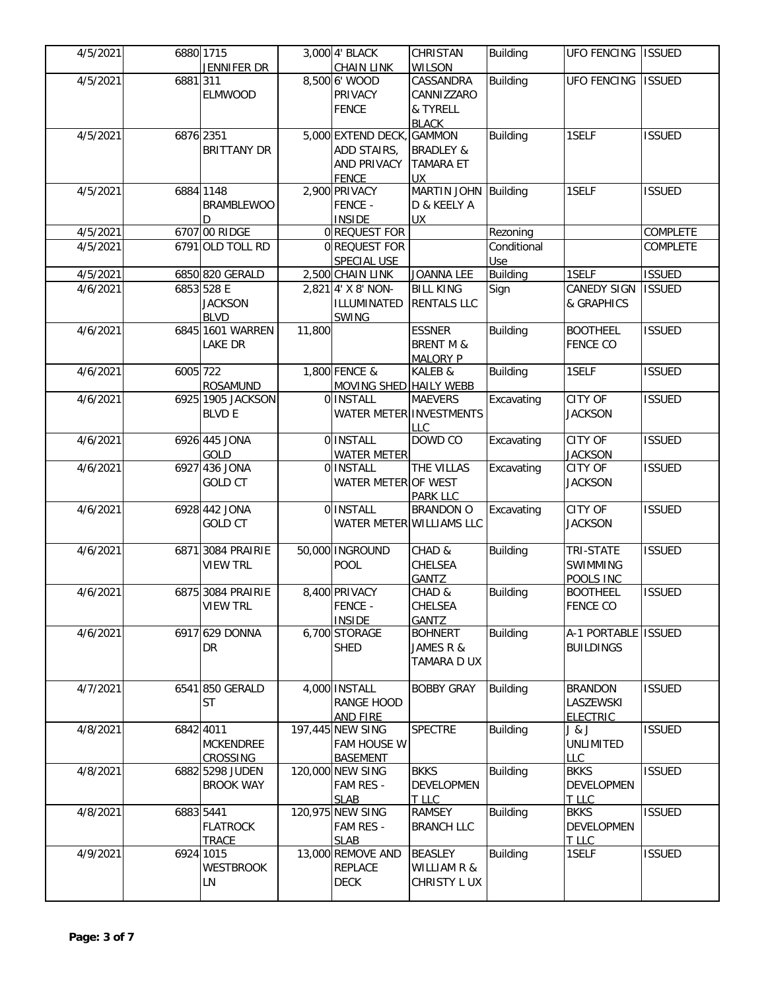| 4/5/2021 | 6880 1715 | JENNIFER DR                                 |        | 3,000 4' BLACK<br><b>CHAIN LINK</b>                                     | CHRISTAN<br><b>WILSON</b>                                                              | Building           | <b>UFO FENCING</b>                             | <b>ISSUED</b> |
|----------|-----------|---------------------------------------------|--------|-------------------------------------------------------------------------|----------------------------------------------------------------------------------------|--------------------|------------------------------------------------|---------------|
| 4/5/2021 | 6881311   | <b>ELMWOOD</b>                              |        | 8,500 6' WOOD<br>PRIVACY<br><b>FENCE</b>                                | CASSANDRA<br>CANNIZZARO<br>& TYRELL                                                    | <b>Building</b>    | <b>UFO FENCING</b>                             | <b>ISSUED</b> |
| 4/5/2021 | 6876 2351 | <b>BRITTANY DR</b>                          |        | 5,000 EXTEND DECK,<br>ADD STAIRS,<br><b>AND PRIVACY</b><br><b>FENCE</b> | <b>BLACK</b><br><b>GAMMON</b><br><b>BRADLEY &amp;</b><br><b>TAMARA ET</b><br><b>UX</b> | <b>Building</b>    | 1SELF                                          | <b>ISSUED</b> |
| 4/5/2021 |           | 6884 1148<br><b>BRAMBLEWOO</b><br>D         |        | 2,900 PRIVACY<br><b>FENCE -</b><br><b>INSIDE</b>                        | MARTIN JOHN Building<br>D & KEELY A<br><b>UX</b>                                       |                    | 1SELF                                          | <b>ISSUED</b> |
| 4/5/2021 |           | 6707 00 RIDGE                               |        | 0 REQUEST FOR                                                           |                                                                                        | Rezoning           |                                                | COMPLETE      |
| 4/5/2021 |           | 6791 OLD TOLL RD                            |        | 0 REQUEST FOR<br>SPECIAL USE                                            |                                                                                        | Conditional<br>Use |                                                | COMPLETE      |
| 4/5/2021 |           | 6850 820 GERALD                             |        | 2,500 CHAIN LINK                                                        | <b>JOANNA LEE</b>                                                                      | Building           | 1SELF                                          | <b>ISSUED</b> |
| 4/6/2021 |           | 6853 528 E<br><b>JACKSON</b><br><b>BLVD</b> |        | 2,821 4' X 8' NON-<br>ILLUMINATED<br><b>SWING</b>                       | <b>BILL KING</b><br><b>RENTALS LLC</b>                                                 | Sign               | <b>CANEDY SIGN</b><br>& GRAPHICS               | <b>ISSUED</b> |
| 4/6/2021 |           | 6845 1601 WARREN<br>LAKE DR                 | 11,800 |                                                                         | <b>ESSNER</b><br><b>BRENT M &amp;</b><br><b>MALORY P</b>                               | <b>Building</b>    | <b>BOOTHEEL</b><br><b>FENCE CO</b>             | <b>ISSUED</b> |
| 4/6/2021 | 6005 722  | ROSAMUND                                    |        | 1,800 FENCE &<br>MOVING SHED HAILY WEBB                                 | KALEB &                                                                                | <b>Building</b>    | 1SELF                                          | <b>ISSUED</b> |
| 4/6/2021 |           | 6925 1905 JACKSON<br><b>BLVD E</b>          |        | <b>O INSTALL</b><br><b>WATER METER INVESTMENTS</b>                      | <b>MAEVERS</b><br><b>LLC</b>                                                           | Excavating         | CITY OF<br><b>JACKSON</b>                      | <b>ISSUED</b> |
| 4/6/2021 |           | 6926 445 JONA<br>GOLD                       |        | <b>O INSTALL</b><br><b>WATER METER</b>                                  | DOWD CO                                                                                | Excavating         | <b>CITY OF</b><br><b>JACKSON</b>               | <b>ISSUED</b> |
| 4/6/2021 |           | 6927 436 JONA<br><b>GOLD CT</b>             |        | 0 INSTALL<br>WATER METER OF WEST                                        | THE VILLAS<br><b>PARK LLC</b>                                                          | Excavating         | CITY OF<br><b>JACKSON</b>                      | <b>ISSUED</b> |
| 4/6/2021 |           | 6928 442 JONA<br><b>GOLD CT</b>             |        | 0 INSTALL<br>WATER METER WILLIAMS LLC                                   | <b>BRANDON O</b>                                                                       | Excavating         | <b>CITY OF</b><br><b>JACKSON</b>               | <b>ISSUED</b> |
| 4/6/2021 |           | 6871 3084 PRAIRIE<br><b>VIEW TRL</b>        |        | 50,000 INGROUND<br><b>POOL</b>                                          | CHAD &<br>CHELSEA<br>GANTZ                                                             | <b>Building</b>    | TRI-STATE<br>SWIMMING<br>POOLS INC             | <b>ISSUED</b> |
| 4/6/2021 |           | 6875 3084 PRAIRIE<br><b>VIEW TRL</b>        |        | 8,400 PRIVACY<br>FENCE -<br><b>INSIDE</b>                               | CHAD &<br>CHELSEA<br><b>GANTZ</b>                                                      | <b>Building</b>    | <b>BOOTHEEL</b><br><b>FENCE CO</b>             | <b>ISSUED</b> |
| 4/6/2021 |           | 6917 629 DONNA<br>DR                        |        | 6,700 STORAGE<br><b>SHED</b>                                            | <b>BOHNERT</b><br>JAMES R &<br>TAMARA D UX                                             | <b>Building</b>    | A-1 PORTABLE ISSUED<br><b>BUILDINGS</b>        |               |
| 4/7/2021 |           | 6541 850 GERALD<br><b>ST</b>                |        | 4,000 INSTALL<br><b>RANGE HOOD</b><br>AND FIRE                          | <b>BOBBY GRAY</b>                                                                      | <b>Building</b>    | <b>BRANDON</b><br>LASZEWSKI<br><b>ELECTRIC</b> | <b>ISSUED</b> |
| 4/8/2021 | 6842 4011 | <b>MCKENDREE</b><br><b>CROSSING</b>         |        | 197,445 NEW SING<br>FAM HOUSE W<br><b>BASEMENT</b>                      | <b>SPECTRE</b>                                                                         | <b>Building</b>    | J & J<br>UNLIMITED<br>LLC                      | <b>ISSUED</b> |
| 4/8/2021 |           | 6882 5298 JUDEN<br><b>BROOK WAY</b>         |        | 120,000 NEW SING<br>FAM RES -<br><b>SLAB</b>                            | <b>BKKS</b><br><b>DEVELOPMEN</b><br>T LLC                                              | <b>Building</b>    | <b>BKKS</b><br>DEVELOPMEN<br>T LLC             | <b>ISSUED</b> |
| 4/8/2021 | 6883 5441 | <b>FLATROCK</b><br><b>TRACE</b>             |        | 120,975 NEW SING<br>FAM RES -<br><b>SLAB</b>                            | <b>RAMSEY</b><br><b>BRANCH LLC</b>                                                     | <b>Building</b>    | <b>BKKS</b><br>DEVELOPMEN<br>T LLC             | <b>ISSUED</b> |
| 4/9/2021 |           | 6924 1015<br><b>WESTBROOK</b><br>LN         |        | 13,000 REMOVE AND<br><b>REPLACE</b><br><b>DECK</b>                      | <b>BEASLEY</b><br><b>WILLIAM R &amp;</b><br>CHRISTY L UX                               | <b>Building</b>    | 1SELF                                          | <b>ISSUED</b> |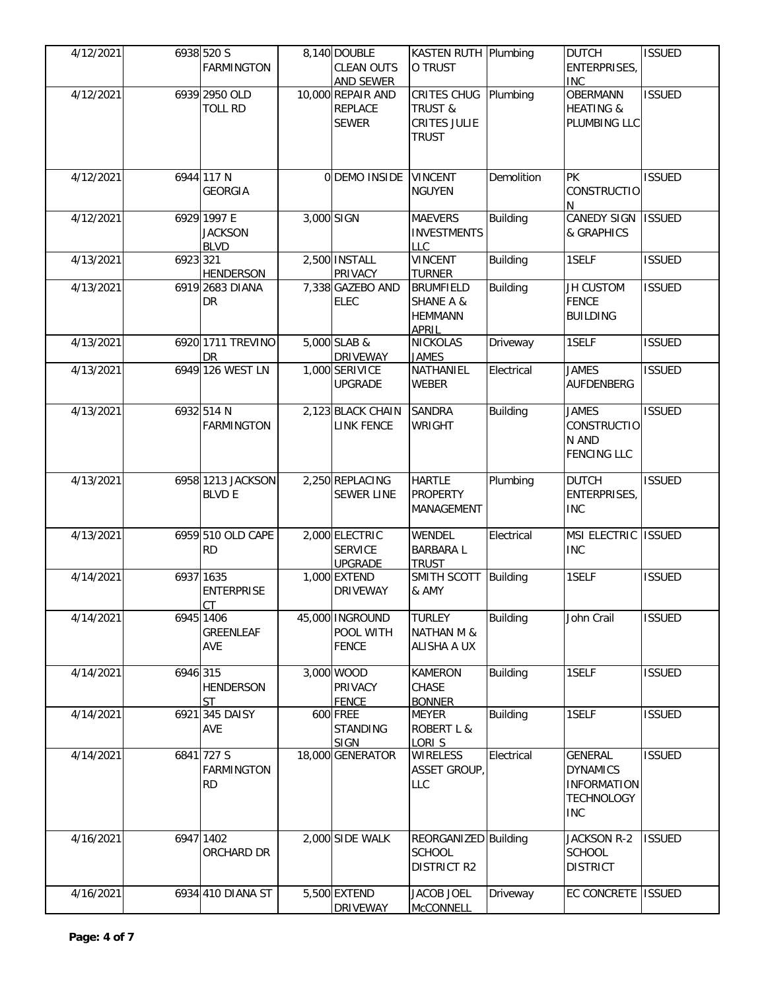| 4/12/2021 |          | 6938 520 S<br><b>FARMINGTON</b>              | 8,140 DOUBLE<br><b>CLEAN OUTS</b><br><b>AND SEWER</b> | KASTEN RUTH Plumbing<br>O TRUST                                                   |                 | <b>DUTCH</b><br>ENTERPRISES,<br><b>INC</b>                                          | <b>ISSUED</b> |
|-----------|----------|----------------------------------------------|-------------------------------------------------------|-----------------------------------------------------------------------------------|-----------------|-------------------------------------------------------------------------------------|---------------|
| 4/12/2021 |          | 6939 2950 OLD<br><b>TOLL RD</b>              | 10,000 REPAIR AND<br><b>REPLACE</b><br><b>SEWER</b>   | CRITES CHUG Plumbing<br><b>TRUST &amp;</b><br><b>CRITES JULIE</b><br><b>TRUST</b> |                 | <b>OBERMANN</b><br><b>HEATING &amp;</b><br>PLUMBING LLC                             | <b>ISSUED</b> |
| 4/12/2021 |          | 6944 117 N<br><b>GEORGIA</b>                 | 0 DEMO INSIDE VINCENT                                 | <b>NGUYEN</b>                                                                     | Demolition      | <b>PK</b><br><b>CONSTRUCTIO</b><br>N                                                | <b>ISSUED</b> |
| 4/12/2021 |          | 6929 1997 E<br><b>JACKSON</b><br><b>BLVD</b> | 3,000 SIGN                                            | <b>MAEVERS</b><br><b>INVESTMENTS</b><br><b>LLC</b>                                | <b>Building</b> | CANEDY SIGN   ISSUED<br>& GRAPHICS                                                  |               |
| 4/13/2021 | 6923 321 | <b>HENDERSON</b>                             | 2,500 INSTALL<br>PRIVACY                              | <b>VINCENT</b><br><b>TURNER</b>                                                   | <b>Building</b> | 1SELF                                                                               | <b>ISSUED</b> |
| 4/13/2021 |          | 6919 2683 DIANA<br>DR                        | 7,338 GAZEBO AND<br><b>ELEC</b>                       | <b>BRUMFIELD</b><br><b>SHANE A &amp;</b><br><b>HEMMANN</b><br><b>APRIL</b>        | <b>Building</b> | <b>JH CUSTOM</b><br><b>FENCE</b><br><b>BUILDING</b>                                 | <b>ISSUED</b> |
| 4/13/2021 |          | 6920 1711 TREVINO<br>DR                      | 5,000 SLAB &<br><b>DRIVEWAY</b>                       | <b>NICKOLAS</b><br><b>JAMES</b>                                                   | Driveway        | 1SELF                                                                               | <b>ISSUED</b> |
| 4/13/2021 |          | 6949 126 WEST LN                             | 1,000 SERIVICE<br><b>UPGRADE</b>                      | NATHANIEL<br><b>WEBER</b>                                                         | Electrical      | <b>JAMES</b><br>AUFDENBERG                                                          | <b>ISSUED</b> |
| 4/13/2021 |          | 6932 514 N<br><b>FARMINGTON</b>              | 2,123 BLACK CHAIN<br><b>LINK FENCE</b>                | <b>SANDRA</b><br><b>WRIGHT</b>                                                    | <b>Building</b> | <b>JAMES</b><br><b>CONSTRUCTIO</b><br>N AND<br><b>FENCING LLC</b>                   | <b>ISSUED</b> |
| 4/13/2021 |          | 6958 1213 JACKSON<br><b>BLVD E</b>           | 2,250 REPLACING<br><b>SEWER LINE</b>                  | <b>HARTLE</b><br><b>PROPERTY</b><br><b>MANAGEMENT</b>                             | Plumbing        | <b>DUTCH</b><br>ENTERPRISES,<br><b>INC</b>                                          | <b>ISSUED</b> |
| 4/13/2021 |          | 6959 510 OLD CAPE<br><b>RD</b>               | 2,000 ELECTRIC<br><b>SERVICE</b><br><b>UPGRADE</b>    | <b>WENDEL</b><br><b>BARBARAL</b><br><b>TRUST</b>                                  | Electrical      | MSI ELECTRIC ISSUED<br><b>INC</b>                                                   |               |
| 4/14/2021 |          | 6937 1635<br><b>ENTERPRISE</b><br>CT         | 1,000 EXTEND<br><b>DRIVEWAY</b>                       | SMITH SCOTT Building<br>& AMY                                                     |                 | 1SELF                                                                               | <b>ISSUED</b> |
| 4/14/2021 |          | 6945 1406<br><b>GREENLEAF</b><br><b>AVE</b>  | 45,000 INGROUND<br>POOL WITH<br><b>FENCE</b>          | <b>TURLEY</b><br><b>NATHAN M &amp;</b><br>ALISHA A UX                             | <b>Building</b> | John Crail                                                                          | <b>ISSUED</b> |
| 4/14/2021 | 6946 315 | <b>HENDERSON</b><br><b>ST</b>                | 3,000 WOOD<br>PRIVACY<br><b>FENCE</b>                 | <b>KAMERON</b><br>CHASE<br><b>BONNER</b>                                          | <b>Building</b> | 1SELF                                                                               | <b>ISSUED</b> |
| 4/14/2021 |          | 6921 345 DAISY<br><b>AVE</b>                 | 600 FREE<br><b>STANDING</b><br><b>SIGN</b>            | <b>MEYER</b><br><b>ROBERT L &amp;</b><br>LORI S                                   | <b>Building</b> | 1SELF                                                                               | <b>ISSUED</b> |
| 4/14/2021 |          | 6841 727 S<br><b>FARMINGTON</b><br><b>RD</b> | 18,000 GENERATOR                                      | <b>WIRELESS</b><br>ASSET GROUP,<br><b>LLC</b>                                     | Electrical      | GENERAL<br><b>DYNAMICS</b><br><b>INFORMATION</b><br><b>TECHNOLOGY</b><br><b>INC</b> | <b>ISSUED</b> |
| 4/16/2021 |          | 6947 1402<br>ORCHARD DR                      | 2,000 SIDE WALK                                       | REORGANIZED Building<br><b>SCHOOL</b><br><b>DISTRICT R2</b>                       |                 | JACKSON R-2<br>SCHOOL<br><b>DISTRICT</b>                                            | <b>ISSUED</b> |
| 4/16/2021 |          | 6934 410 DIANA ST                            | 5,500 EXTEND<br><b>DRIVEWAY</b>                       | <b>JACOB JOEL</b><br><b>McCONNELL</b>                                             | Driveway        | EC CONCRETE   ISSUED                                                                |               |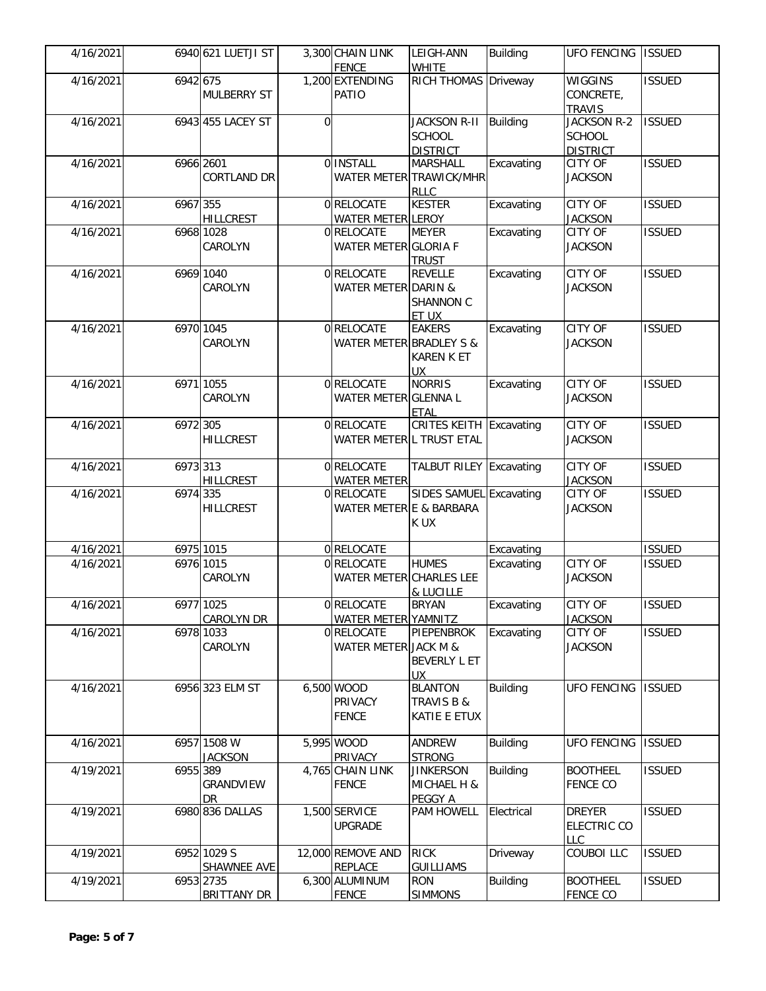| 4/16/2021 |           | 6940 621 LUETJI ST              |          | 3,300 CHAIN LINK<br>FENCE                | LEIGH-ANN<br><b>WHITE</b>                                 | <b>Building</b> | <b>UFO FENCING</b>                                               | <b>ISSUED</b> |
|-----------|-----------|---------------------------------|----------|------------------------------------------|-----------------------------------------------------------|-----------------|------------------------------------------------------------------|---------------|
| 4/16/2021 | 6942 675  | <b>MULBERRY ST</b>              |          | 1,200 EXTENDING<br>PATIO                 | RICH THOMAS Driveway                                      |                 | <b>WIGGINS</b><br>CONCRETE,                                      | <b>ISSUED</b> |
| 4/16/2021 |           | 6943 455 LACEY ST               | $\Omega$ |                                          | <b>JACKSON R-II</b><br><b>SCHOOL</b><br><b>DISTRICT</b>   | <b>Building</b> | <b>TRAVIS</b><br>JACKSON R-2<br><b>SCHOOL</b><br><b>DISTRICT</b> | <b>ISSUED</b> |
| 4/16/2021 | 6966 2601 | <b>CORTLAND DR</b>              |          | 0 INSTALL                                | <b>MARSHALL</b><br>WATER METER TRAWICK/MHR<br><b>RLLC</b> | Excavating      | CITY OF<br><b>JACKSON</b>                                        | <b>ISSUED</b> |
| 4/16/2021 | 6967 355  | <b>HILLCREST</b>                |          | 0RELOCATE<br><b>WATER METER LEROY</b>    | <b>KESTER</b>                                             | Excavating      | CITY OF<br><b>JACKSON</b>                                        | <b>ISSUED</b> |
| 4/16/2021 |           | 6968 1028<br>CAROLYN            |          | 0 RELOCATE<br>WATER METER GLORIA F       | <b>MEYER</b><br><b>TRUST</b>                              | Excavating      | CITY OF<br><b>JACKSON</b>                                        | <b>ISSUED</b> |
| 4/16/2021 |           | 6969 1040<br>CAROLYN            |          | 0 RELOCATE<br>WATER METER DARIN &        | <b>REVELLE</b><br>SHANNON C<br>ET UX                      | Excavating      | CITY OF<br><b>JACKSON</b>                                        | <b>ISSUED</b> |
| 4/16/2021 |           | 6970 1045<br>CAROLYN            |          | 0RELOCATE<br>WATER METER BRADLEY S &     | <b>EAKERS</b><br><b>KAREN K ET</b><br>UX                  | Excavating      | CITY OF<br><b>JACKSON</b>                                        | <b>ISSUED</b> |
| 4/16/2021 |           | 6971 1055<br>CAROLYN            |          | 0RELOCATE<br>WATER METER GLENNA L        | <b>NORRIS</b><br><b>ETAL</b>                              | Excavating      | CITY OF<br><b>JACKSON</b>                                        | <b>ISSUED</b> |
| 4/16/2021 | 6972 305  | <b>HILLCREST</b>                |          | 0RELOCATE<br>WATER METER L TRUST ETAL    | CRITES KEITH Excavating                                   |                 | CITY OF<br><b>JACKSON</b>                                        | <b>ISSUED</b> |
| 4/16/2021 | 6973 313  | <b>HILLCREST</b>                |          | 0 RELOCATE<br><b>WATER METER</b>         | <b>TALBUT RILEY Excavating</b>                            |                 | CITY OF<br><b>JACKSON</b>                                        | <b>ISSUED</b> |
| 4/16/2021 | 6974 335  | <b>HILLCREST</b>                |          | 0RELOCATE<br>WATER METER E & BARBARA     | SIDES SAMUEL Excavating<br>K UX                           |                 | CITY OF<br><b>JACKSON</b>                                        | <b>ISSUED</b> |
| 4/16/2021 |           | 6975 1015                       |          | 0 RELOCATE                               |                                                           | Excavating      |                                                                  | <b>ISSUED</b> |
| 4/16/2021 |           | 6976 1015<br>CAROLYN            |          | 0 RELOCATE<br>WATER METER CHARLES LEE    | <b>HUMES</b><br>& LUCILLE                                 | Excavating      | <b>CITY OF</b><br><b>JACKSON</b>                                 | <b>ISSUED</b> |
| 4/16/2021 |           | 6977 1025<br><b>CAROLYN DR</b>  |          | 0 RELOCATE<br><b>WATER METER YAMNITZ</b> | <b>BRYAN</b>                                              | Excavating      | <b>CITY OF</b><br><b>JACKSON</b>                                 | <b>ISSUED</b> |
| 4/16/2021 |           | 6978 1033<br>CAROLYN            |          | 0 RELOCATE<br>WATER METER JACK M &       | PIEPENBROK<br>BEVERLY L ET<br>UX.                         | Excavating      | CITY OF<br><b>JACKSON</b>                                        | <b>ISSUED</b> |
| 4/16/2021 |           | 6956 323 ELM ST                 |          | 6,500 WOOD<br>PRIVACY<br><b>FENCE</b>    | <b>BLANTON</b><br><b>TRAVIS B &amp;</b><br>KATIE E ETUX   | <b>Building</b> | <b>UFO FENCING</b>                                               | <b>ISSUED</b> |
| 4/16/2021 |           | 6957 1508 W<br><b>JACKSON</b>   |          | 5,995 WOOD<br>PRIVACY                    | ANDREW<br><b>STRONG</b>                                   | <b>Building</b> | <b>UFO FENCING</b>                                               | <b>ISSUED</b> |
| 4/19/2021 | 6955 389  | GRANDVIEW<br>DR.                |          | 4,765 CHAIN LINK<br><b>FENCE</b>         | <b>JINKERSON</b><br>MICHAEL H &<br>PEGGY A                | <b>Building</b> | <b>BOOTHEEL</b><br><b>FENCE CO</b>                               | <b>ISSUED</b> |
| 4/19/2021 |           | 6980 836 DALLAS                 |          | 1,500 SERVICE<br><b>UPGRADE</b>          | <b>PAM HOWELL</b>                                         | Electrical      | <b>DREYER</b><br><b>ELECTRIC CO</b><br><b>LLC</b>                | <b>ISSUED</b> |
| 4/19/2021 |           | 6952 1029 S<br>SHAWNEE AVE      |          | 12,000 REMOVE AND<br><b>REPLACE</b>      | <b>RICK</b><br><b>GUILLIAMS</b>                           | Driveway        | COUBOI LLC                                                       | <b>ISSUED</b> |
| 4/19/2021 |           | 6953 2735<br><b>BRITTANY DR</b> |          | 6,300 ALUMINUM<br><b>FENCE</b>           | <b>RON</b><br><b>SIMMONS</b>                              | <b>Building</b> | <b>BOOTHEEL</b><br><b>FENCE CO</b>                               | <b>ISSUED</b> |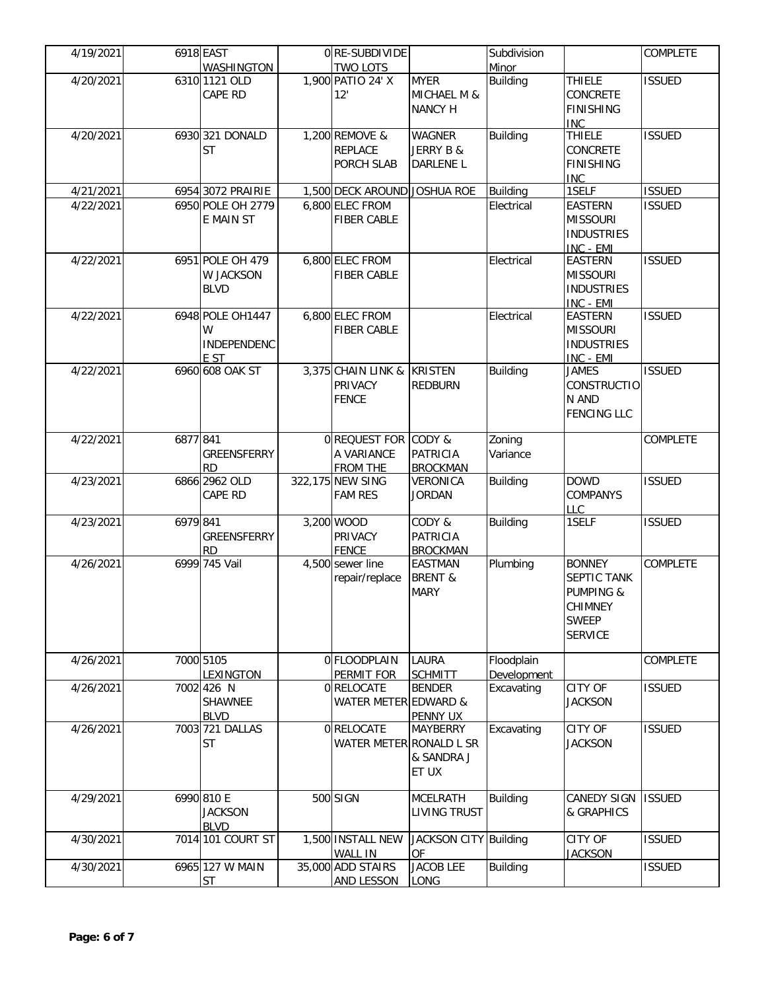| 4/19/2021 |          | 6918 EAST                        | 0 RE-SUBDIVIDE               |                       | Subdivision     |                      | <b>COMPLETE</b> |
|-----------|----------|----------------------------------|------------------------------|-----------------------|-----------------|----------------------|-----------------|
|           |          | WASHINGTON                       | TWO LOTS                     |                       | Minor           |                      |                 |
| 4/20/2021 |          | 6310 1121 OLD                    | 1,900 PATIO 24' X            | <b>MYER</b>           | <b>Building</b> | <b>THIELE</b>        | <b>ISSUED</b>   |
|           |          | CAPE RD                          | 12'                          | MICHAEL M &           |                 | CONCRETE             |                 |
|           |          |                                  |                              | <b>NANCY H</b>        |                 | <b>FINISHING</b>     |                 |
|           |          |                                  |                              |                       |                 | <b>INC</b>           |                 |
| 4/20/2021 |          | 6930 321 DONALD                  | 1,200 REMOVE &               | <b>WAGNER</b>         | <b>Building</b> | <b>THIELE</b>        | <b>ISSUED</b>   |
|           |          | <b>ST</b>                        | <b>REPLACE</b>               | JERRY B &             |                 | CONCRETE             |                 |
|           |          |                                  | PORCH SLAB                   | DARLENE L             |                 | <b>FINISHING</b>     |                 |
|           |          |                                  |                              |                       |                 | <b>INC</b>           |                 |
| 4/21/2021 |          | 6954 3072 PRAIRIE                | 1,500 DECK AROUND JOSHUA ROE |                       | <b>Building</b> | 1SELF                | <b>ISSUED</b>   |
| 4/22/2021 |          | 6950 POLE OH 2779                | 6,800 ELEC FROM              |                       | Electrical      | <b>EASTERN</b>       | <b>ISSUED</b>   |
|           |          | E MAIN ST                        | <b>FIBER CABLE</b>           |                       |                 | <b>MISSOURI</b>      |                 |
|           |          |                                  |                              |                       |                 | <b>INDUSTRIES</b>    |                 |
|           |          |                                  |                              |                       |                 | INC - EMI            |                 |
| 4/22/2021 |          | 6951 POLE OH 479                 | 6,800 ELEC FROM              |                       | Electrical      | <b>EASTERN</b>       | <b>ISSUED</b>   |
|           |          | W JACKSON                        | <b>FIBER CABLE</b>           |                       |                 | <b>MISSOURI</b>      |                 |
|           |          | <b>BLVD</b>                      |                              |                       |                 | <b>INDUSTRIES</b>    |                 |
|           |          |                                  |                              |                       |                 | INC - EMI            |                 |
| 4/22/2021 |          | 6948 POLE OH1447                 | 6,800 ELEC FROM              |                       | Electrical      | <b>EASTERN</b>       | <b>ISSUED</b>   |
|           |          | W                                | <b>FIBER CABLE</b>           |                       |                 | <b>MISSOURI</b>      |                 |
|           |          | INDEPENDENC                      |                              |                       |                 | <b>INDUSTRIES</b>    |                 |
|           |          | E ST                             |                              |                       |                 | INC - EMI            |                 |
| 4/22/2021 |          | 6960 608 OAK ST                  | 3,375 CHAIN LINK &           | <b>KRISTEN</b>        | <b>Building</b> | <b>JAMES</b>         | <b>ISSUED</b>   |
|           |          |                                  | PRIVACY                      | <b>REDBURN</b>        |                 | CONSTRUCTIO          |                 |
|           |          |                                  | <b>FENCE</b>                 |                       |                 | N AND                |                 |
|           |          |                                  |                              |                       |                 | <b>FENCING LLC</b>   |                 |
|           |          |                                  |                              |                       |                 |                      |                 |
| 4/22/2021 | 6877 841 |                                  | 0 REQUEST FOR CODY &         |                       | Zoning          |                      | <b>COMPLETE</b> |
|           |          | GREENSFERRY                      | A VARIANCE                   | <b>PATRICIA</b>       | Variance        |                      |                 |
|           |          | <b>RD</b>                        | <b>FROM THE</b>              | <b>BROCKMAN</b>       |                 |                      |                 |
| 4/23/2021 |          | 6866 2962 OLD                    | 322,175 NEW SING             | VERONICA              | Building        | <b>DOWD</b>          | <b>ISSUED</b>   |
|           |          | CAPE RD                          | <b>FAM RES</b>               | <b>JORDAN</b>         |                 | <b>COMPANYS</b>      |                 |
|           |          |                                  |                              |                       |                 | LLC                  |                 |
| 4/23/2021 | 6979 841 |                                  | 3,200 WOOD                   | CODY &                | <b>Building</b> | 1SELF                | <b>ISSUED</b>   |
|           |          | GREENSFERRY                      | PRIVACY                      | <b>PATRICIA</b>       |                 |                      |                 |
|           |          | <b>RD</b>                        | <b>FENCE</b>                 | <b>BROCKMAN</b>       |                 |                      |                 |
| 4/26/2021 |          | 6999 745 Vail                    | 4,500 sewer line             | <b>EASTMAN</b>        | Plumbing        | <b>BONNEY</b>        | <b>COMPLETE</b> |
|           |          |                                  | repair/replace               | <b>BRENT &amp;</b>    |                 | SEPTIC TANK          |                 |
|           |          |                                  |                              | <b>MARY</b>           |                 | <b>PUMPING &amp;</b> |                 |
|           |          |                                  |                              |                       |                 | <b>CHIMNEY</b>       |                 |
|           |          |                                  |                              |                       |                 | <b>SWEEP</b>         |                 |
|           |          |                                  |                              |                       |                 | <b>SERVICE</b>       |                 |
|           |          |                                  |                              |                       |                 |                      |                 |
| 4/26/2021 |          | 7000 5105                        | 0 FLOODPLAIN                 | <b>LAURA</b>          | Floodplain      |                      | COMPLETE        |
|           |          | LEXINGTON                        | PERMIT FOR                   | <b>SCHMITT</b>        | Development     |                      |                 |
| 4/26/2021 |          | 7002 426 N                       | 0 RELOCATE                   | <b>BENDER</b>         | Excavating      | CITY OF              | <b>ISSUED</b>   |
|           |          | SHAWNEE                          | WATER METER EDWARD &         |                       |                 | <b>JACKSON</b>       |                 |
|           |          | <b>BLVD</b>                      |                              | PENNY UX              |                 |                      |                 |
| 4/26/2021 |          | 7003 721 DALLAS                  | 0RELOCATE                    | <b>MAYBERRY</b>       | Excavating      | CITY OF              | <b>ISSUED</b>   |
|           |          | <b>ST</b>                        | WATER METER RONALD L SR      |                       |                 | <b>JACKSON</b>       |                 |
|           |          |                                  |                              | & SANDRA J            |                 |                      |                 |
|           |          |                                  |                              | ET UX                 |                 |                      |                 |
|           |          |                                  |                              |                       |                 |                      |                 |
| 4/29/2021 |          | 6990 810 E                       | 500 SIGN                     | <b>MCELRATH</b>       | <b>Building</b> | <b>CANEDY SIGN</b>   | <b>ISSUED</b>   |
|           |          | <b>JACKSON</b>                   |                              | <b>LIVING TRUST</b>   |                 | & GRAPHICS           |                 |
|           |          |                                  |                              |                       |                 |                      |                 |
| 4/30/2021 |          | <b>BLVD</b><br>7014 101 COURT ST | 1,500 INSTALL NEW            | JACKSON CITY Building |                 | CITY OF              | <b>ISSUED</b>   |
|           |          |                                  | <b>WALL IN</b>               | <b>OF</b>             |                 | <b>JACKSON</b>       |                 |
| 4/30/2021 |          | 6965 127 W MAIN                  | 35,000 ADD STAIRS            | <b>JACOB LEE</b>      | <b>Building</b> |                      | <b>ISSUED</b>   |
|           |          | <b>ST</b>                        | <b>AND LESSON</b>            | <b>LONG</b>           |                 |                      |                 |
|           |          |                                  |                              |                       |                 |                      |                 |